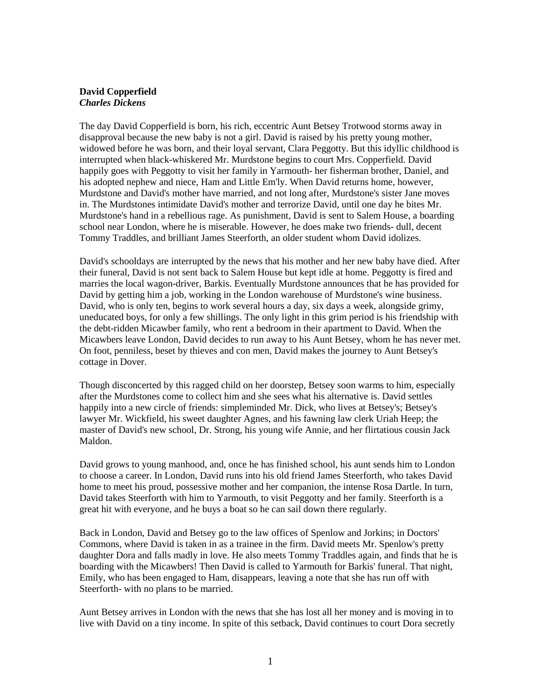## **David Copperfield**  *Charles Dickens*

The day David Copperfield is born, his rich, eccentric Aunt Betsey Trotwood storms away in disapproval because the new baby is not a girl. David is raised by his pretty young mother, widowed before he was born, and their loyal servant, Clara Peggotty. But this idyllic childhood is interrupted when black-whiskered Mr. Murdstone begins to court Mrs. Copperfield. David happily goes with Peggotty to visit her family in Yarmouth- her fisherman brother, Daniel, and his adopted nephew and niece, Ham and Little Em'ly. When David returns home, however, Murdstone and David's mother have married, and not long after, Murdstone's sister Jane moves in. The Murdstones intimidate David's mother and terrorize David, until one day he bites Mr. Murdstone's hand in a rebellious rage. As punishment, David is sent to Salem House, a boarding school near London, where he is miserable. However, he does make two friends- dull, decent Tommy Traddles, and brilliant James Steerforth, an older student whom David idolizes.

David's schooldays are interrupted by the news that his mother and her new baby have died. After their funeral, David is not sent back to Salem House but kept idle at home. Peggotty is fired and marries the local wagon-driver, Barkis. Eventually Murdstone announces that he has provided for David by getting him a job, working in the London warehouse of Murdstone's wine business. David, who is only ten, begins to work several hours a day, six days a week, alongside grimy, uneducated boys, for only a few shillings. The only light in this grim period is his friendship with the debt-ridden Micawber family, who rent a bedroom in their apartment to David. When the Micawbers leave London, David decides to run away to his Aunt Betsey, whom he has never met. On foot, penniless, beset by thieves and con men, David makes the journey to Aunt Betsey's cottage in Dover.

Though disconcerted by this ragged child on her doorstep, Betsey soon warms to him, especially after the Murdstones come to collect him and she sees what his alternative is. David settles happily into a new circle of friends: simpleminded Mr. Dick, who lives at Betsey's; Betsey's lawyer Mr. Wickfield, his sweet daughter Agnes, and his fawning law clerk Uriah Heep; the master of David's new school, Dr. Strong, his young wife Annie, and her flirtatious cousin Jack Maldon.

David grows to young manhood, and, once he has finished school, his aunt sends him to London to choose a career. In London, David runs into his old friend James Steerforth, who takes David home to meet his proud, possessive mother and her companion, the intense Rosa Dartle. In turn, David takes Steerforth with him to Yarmouth, to visit Peggotty and her family. Steerforth is a great hit with everyone, and he buys a boat so he can sail down there regularly.

Back in London, David and Betsey go to the law offices of Spenlow and Jorkins; in Doctors' Commons, where David is taken in as a trainee in the firm. David meets Mr. Spenlow's pretty daughter Dora and falls madly in love. He also meets Tommy Traddles again, and finds that he is boarding with the Micawbers! Then David is called to Yarmouth for Barkis' funeral. That night, Emily, who has been engaged to Ham, disappears, leaving a note that she has run off with Steerforth- with no plans to be married.

Aunt Betsey arrives in London with the news that she has lost all her money and is moving in to live with David on a tiny income. In spite of this setback, David continues to court Dora secretly